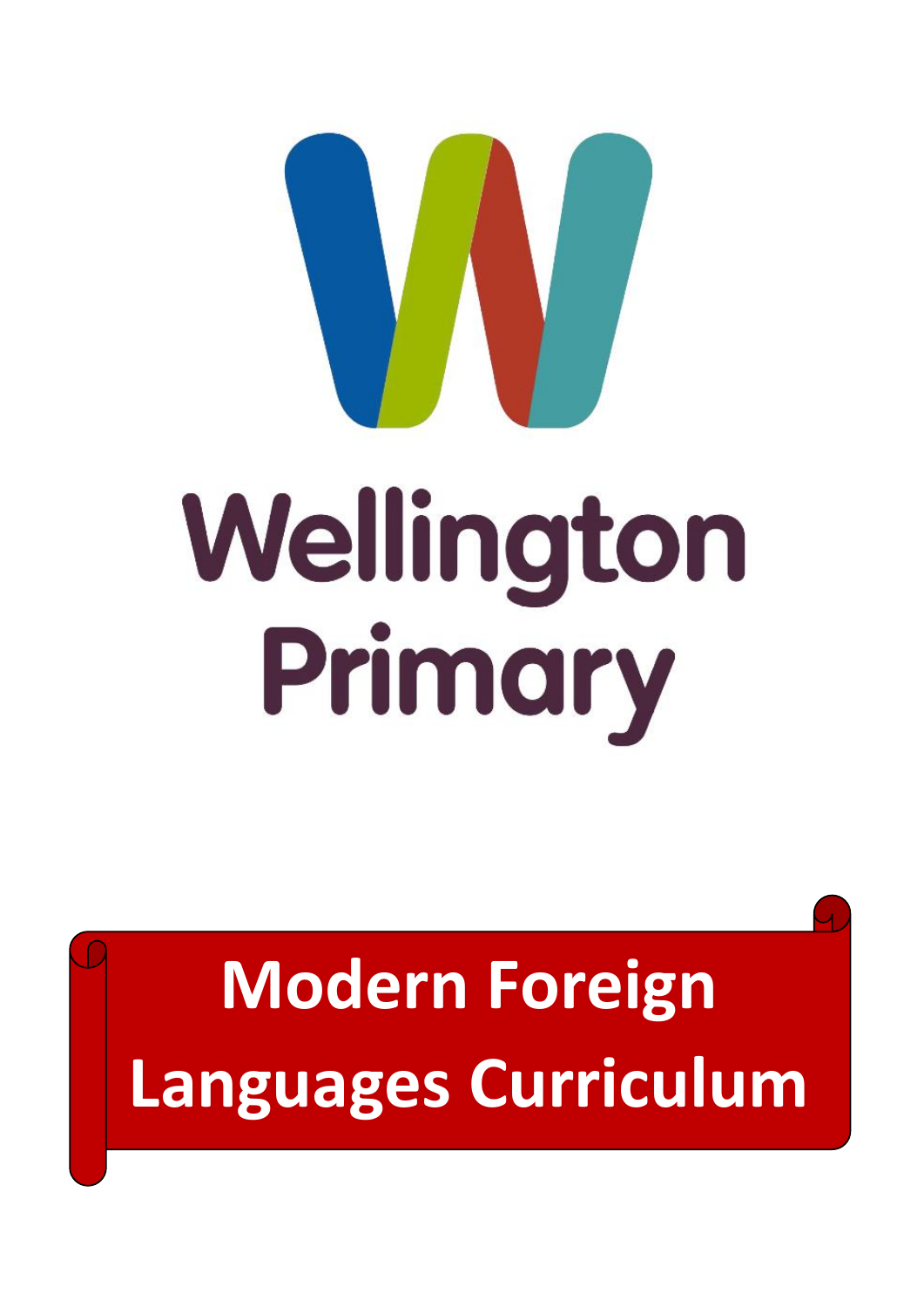

## Wellington Primary

## **Modern Foreign Languages Curriculum**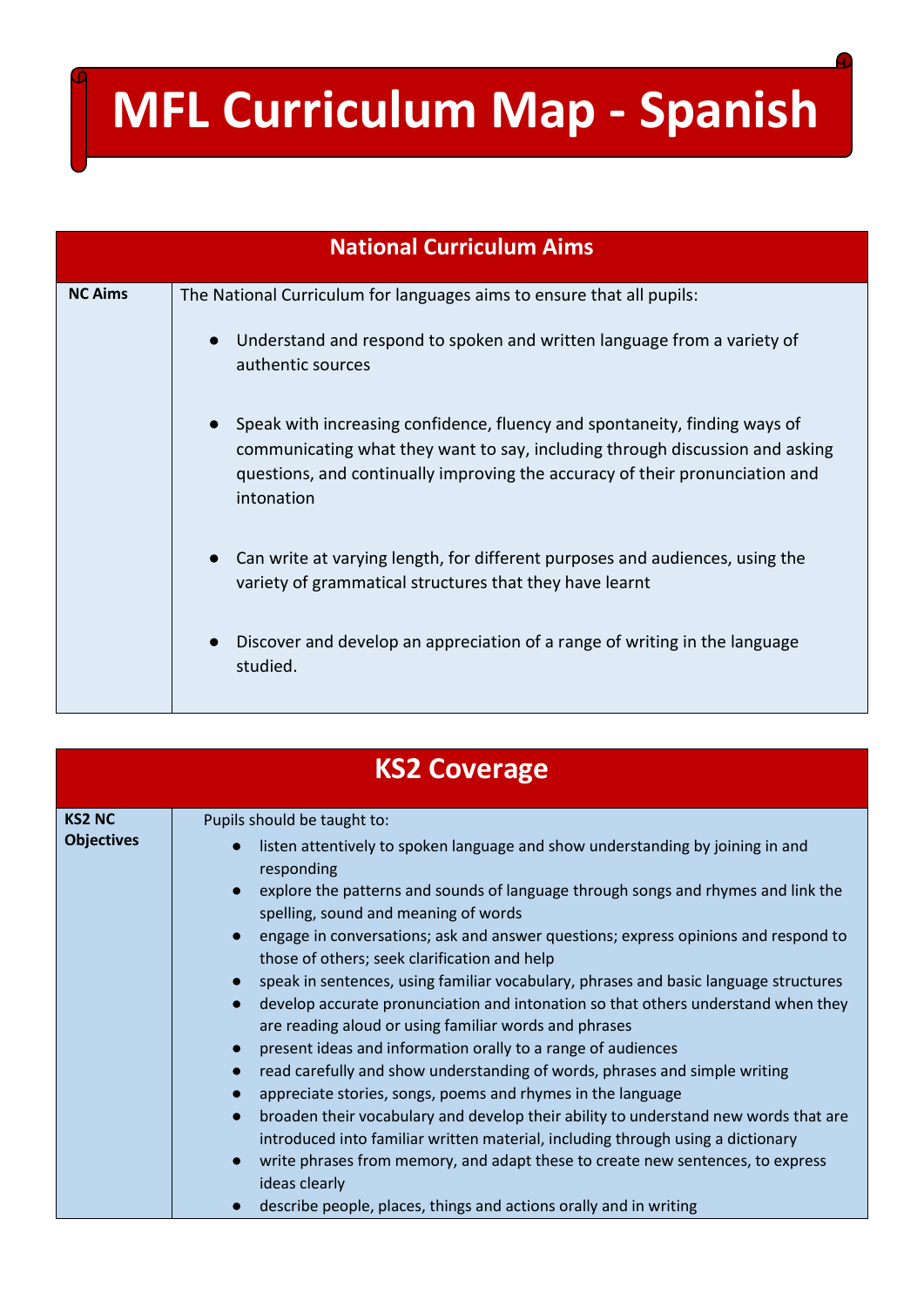## **MFL Curriculum Map - Spanish**

| <b>National Curriculum Aims</b> |                                                                                                                                                                                                                                                                                                                                                                                                                                                                                                                                                                                                                                                                         |  |  |  |  |  |
|---------------------------------|-------------------------------------------------------------------------------------------------------------------------------------------------------------------------------------------------------------------------------------------------------------------------------------------------------------------------------------------------------------------------------------------------------------------------------------------------------------------------------------------------------------------------------------------------------------------------------------------------------------------------------------------------------------------------|--|--|--|--|--|
| <b>NC Aims</b>                  | The National Curriculum for languages aims to ensure that all pupils:<br>Understand and respond to spoken and written language from a variety of<br>authentic sources<br>Speak with increasing confidence, fluency and spontaneity, finding ways of<br>communicating what they want to say, including through discussion and asking<br>questions, and continually improving the accuracy of their pronunciation and<br>intonation<br>Can write at varying length, for different purposes and audiences, using the<br>$\bullet$<br>variety of grammatical structures that they have learnt<br>Discover and develop an appreciation of a range of writing in the language |  |  |  |  |  |
|                                 | studied.                                                                                                                                                                                                                                                                                                                                                                                                                                                                                                                                                                                                                                                                |  |  |  |  |  |

| <b>KS2 Coverage</b>                |                                                                                                                                                                                                                                                                                                                                                                                                                                                                                                                                                                                                                      |  |  |  |  |
|------------------------------------|----------------------------------------------------------------------------------------------------------------------------------------------------------------------------------------------------------------------------------------------------------------------------------------------------------------------------------------------------------------------------------------------------------------------------------------------------------------------------------------------------------------------------------------------------------------------------------------------------------------------|--|--|--|--|
| <b>KS2 NC</b><br><b>Objectives</b> | Pupils should be taught to:<br>listen attentively to spoken language and show understanding by joining in and<br>responding<br>explore the patterns and sounds of language through songs and rhymes and link the<br>spelling, sound and meaning of words<br>engage in conversations; ask and answer questions; express opinions and respond to<br>those of others; seek clarification and help<br>speak in sentences, using familiar vocabulary, phrases and basic language structures<br>develop accurate pronunciation and intonation so that others understand when they                                          |  |  |  |  |
|                                    | are reading aloud or using familiar words and phrases<br>present ideas and information orally to a range of audiences<br>read carefully and show understanding of words, phrases and simple writing<br>appreciate stories, songs, poems and rhymes in the language<br>broaden their vocabulary and develop their ability to understand new words that are<br>introduced into familiar written material, including through using a dictionary<br>write phrases from memory, and adapt these to create new sentences, to express<br>ideas clearly<br>describe people, places, things and actions orally and in writing |  |  |  |  |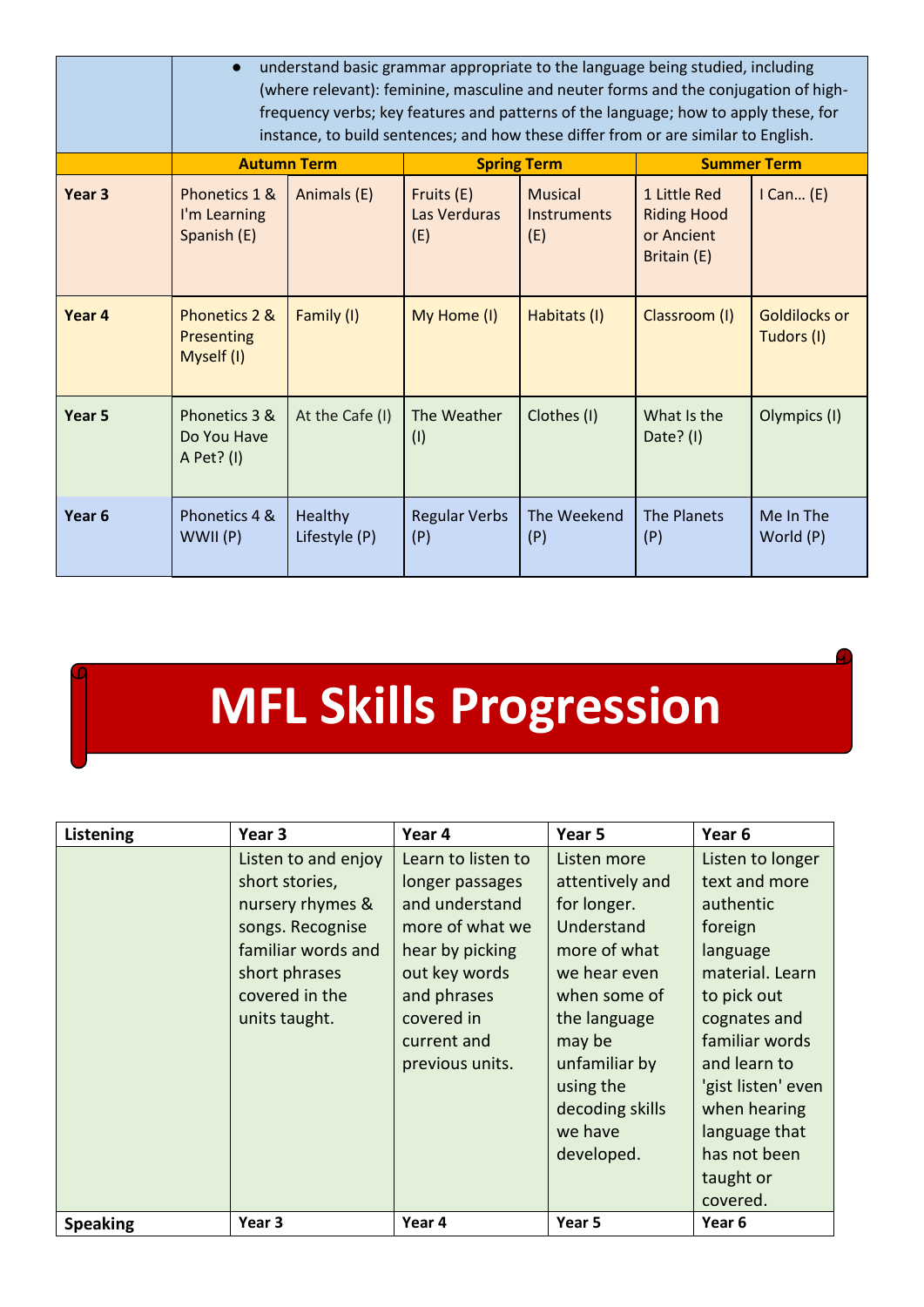|                   | understand basic grammar appropriate to the language being studied, including<br>(where relevant): feminine, masculine and neuter forms and the conjugation of high-<br>frequency verbs; key features and patterns of the language; how to apply these, for<br>instance, to build sentences; and how these differ from or are similar to English. |                          |                                   |                                             |                                                                 |                             |
|-------------------|---------------------------------------------------------------------------------------------------------------------------------------------------------------------------------------------------------------------------------------------------------------------------------------------------------------------------------------------------|--------------------------|-----------------------------------|---------------------------------------------|-----------------------------------------------------------------|-----------------------------|
|                   |                                                                                                                                                                                                                                                                                                                                                   | <b>Autumn Term</b>       |                                   | <b>Spring Term</b>                          | <b>Summer Term</b>                                              |                             |
| Year <sub>3</sub> | Phonetics 1 &<br>I'm Learning<br>Spanish (E)                                                                                                                                                                                                                                                                                                      | Animals (E)              | Fruits (E)<br>Las Verduras<br>(E) | <b>Musical</b><br><b>Instruments</b><br>(E) | 1 Little Red<br><b>Riding Hood</b><br>or Ancient<br>Britain (E) | $I$ Can $(E)$               |
| Year 4            | Phonetics 2 &<br><b>Presenting</b><br>Myself (I)                                                                                                                                                                                                                                                                                                  | Family (I)               | My Home (I)                       | Habitats (I)                                | Classroom (I)                                                   | Goldilocks or<br>Tudors (I) |
| Year <sub>5</sub> | Phonetics 3 &<br>Do You Have<br>A Pet? (I)                                                                                                                                                                                                                                                                                                        | At the Cafe (I)          | The Weather<br>(1)                | Clothes (I)                                 | What Is the<br>Date? $(1)$                                      | Olympics (I)                |
| Year <sub>6</sub> | Phonetics 4 &<br>WWII (P)                                                                                                                                                                                                                                                                                                                         | Healthy<br>Lifestyle (P) | <b>Regular Verbs</b><br>(P)       | The Weekend<br>(P)                          | <b>The Planets</b><br>(P)                                       | Me In The<br>World (P)      |

**MFL Skills Progression**

| Listening       | Year 3                                                                                                         | Year 4                                                                                             | Year 5                                                                                    | Year 6                                                                                                                         |
|-----------------|----------------------------------------------------------------------------------------------------------------|----------------------------------------------------------------------------------------------------|-------------------------------------------------------------------------------------------|--------------------------------------------------------------------------------------------------------------------------------|
|                 | Listen to and enjoy<br>short stories,                                                                          | Learn to listen to<br>longer passages                                                              | Listen more<br>attentively and                                                            | Listen to longer<br>text and more                                                                                              |
|                 | nursery rhymes &<br>songs. Recognise<br>familiar words and<br>short phrases<br>covered in the<br>units taught. | and understand<br>more of what we<br>hear by picking<br>out key words<br>and phrases<br>covered in | for longer.<br>Understand<br>more of what<br>we hear even<br>when some of<br>the language | authentic<br>foreign<br>language<br>material. Learn<br>to pick out<br>cognates and                                             |
|                 |                                                                                                                | current and<br>previous units.                                                                     | may be<br>unfamiliar by<br>using the<br>decoding skills<br>we have<br>developed.          | familiar words<br>and learn to<br>'gist listen' even<br>when hearing<br>language that<br>has not been<br>taught or<br>covered. |
| <b>Speaking</b> | Year <sub>3</sub>                                                                                              | Year 4                                                                                             | Year 5                                                                                    | Year 6                                                                                                                         |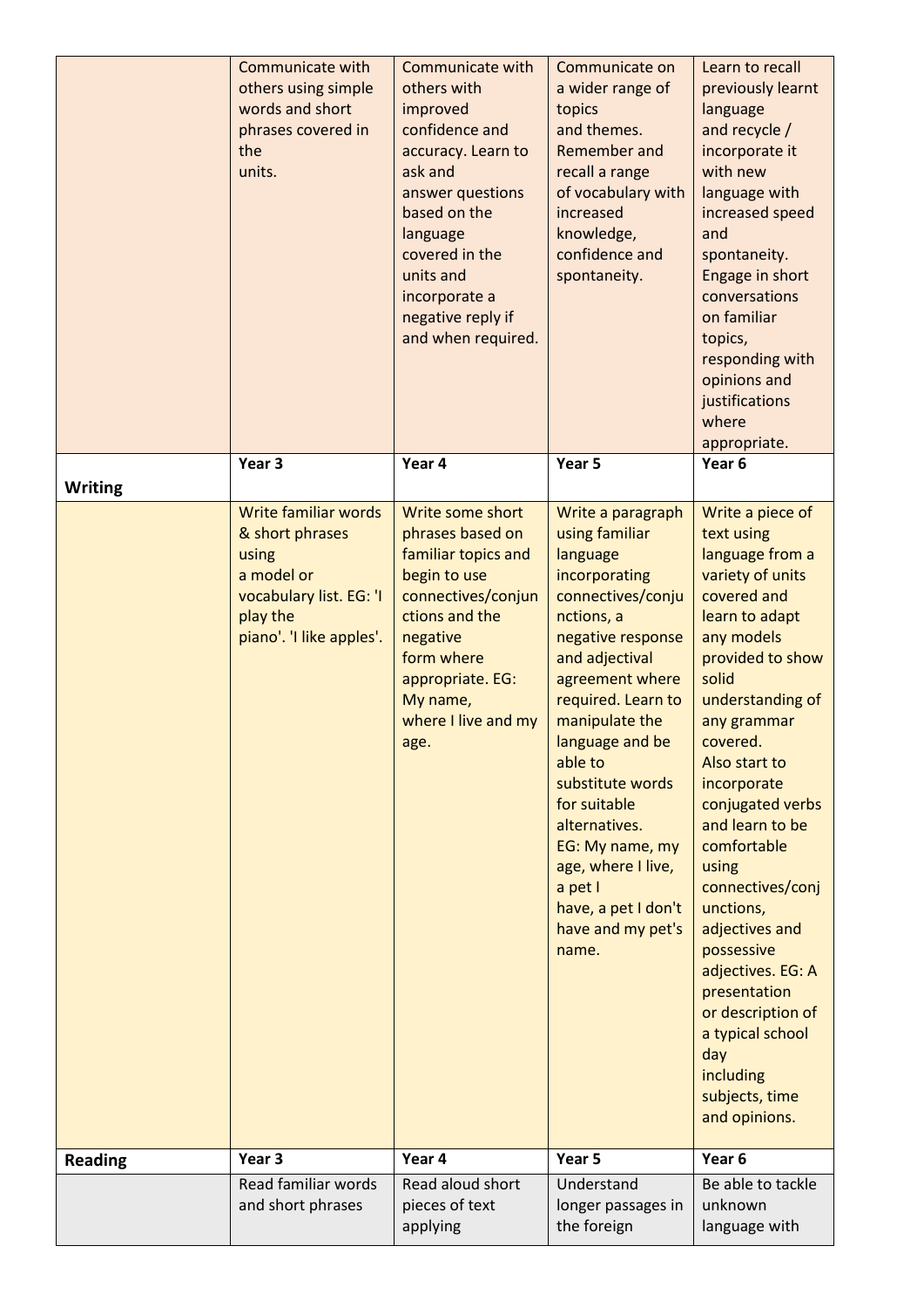|                | <b>Communicate with</b><br>others using simple<br>words and short<br>phrases covered in<br>the<br>units.                          | Communicate with<br>others with<br>improved<br>confidence and<br>accuracy. Learn to<br>ask and<br>answer questions<br>based on the<br>language<br>covered in the<br>units and<br>incorporate a<br>negative reply if<br>and when required. | Communicate on<br>a wider range of<br>topics<br>and themes.<br>Remember and<br>recall a range<br>of vocabulary with<br>increased<br>knowledge,<br>confidence and<br>spontaneity.                                                                                                                                                                                                                  | Learn to recall<br>previously learnt<br>language<br>and recycle /<br>incorporate it<br>with new<br>language with<br>increased speed<br>and<br>spontaneity.<br>Engage in short<br>conversations<br>on familiar<br>topics,<br>responding with<br>opinions and<br>justifications<br>where<br>appropriate.                                                                                                                                                                                                |
|----------------|-----------------------------------------------------------------------------------------------------------------------------------|-------------------------------------------------------------------------------------------------------------------------------------------------------------------------------------------------------------------------------------------|---------------------------------------------------------------------------------------------------------------------------------------------------------------------------------------------------------------------------------------------------------------------------------------------------------------------------------------------------------------------------------------------------|-------------------------------------------------------------------------------------------------------------------------------------------------------------------------------------------------------------------------------------------------------------------------------------------------------------------------------------------------------------------------------------------------------------------------------------------------------------------------------------------------------|
|                | Year <sub>3</sub>                                                                                                                 | Year 4                                                                                                                                                                                                                                    | Year 5                                                                                                                                                                                                                                                                                                                                                                                            | Year 6                                                                                                                                                                                                                                                                                                                                                                                                                                                                                                |
| <b>Writing</b> |                                                                                                                                   |                                                                                                                                                                                                                                           |                                                                                                                                                                                                                                                                                                                                                                                                   |                                                                                                                                                                                                                                                                                                                                                                                                                                                                                                       |
|                | Write familiar words<br>& short phrases<br>using<br>a model or<br>vocabulary list. EG: 'I<br>play the<br>piano'. 'I like apples'. | Write some short<br>phrases based on<br>familiar topics and<br>begin to use<br>connectives/conjun<br>ctions and the<br>negative<br>form where<br>appropriate. EG:<br>My name,<br>where I live and my<br>age.                              | Write a paragraph<br>using familiar<br>language<br>incorporating<br>connectives/conju<br>nctions, a<br>negative response<br>and adjectival<br>agreement where<br>required. Learn to<br>manipulate the<br>language and be<br>able to<br>substitute words<br>for suitable<br>alternatives.<br>EG: My name, my<br>age, where I live,<br>a pet I<br>have, a pet I don't<br>have and my pet's<br>name. | Write a piece of<br>text using<br>language from a<br>variety of units<br>covered and<br>learn to adapt<br>any models<br>provided to show<br>solid<br>understanding of<br>any grammar<br>covered.<br>Also start to<br>incorporate<br>conjugated verbs<br>and learn to be<br>comfortable<br>using<br>connectives/conj<br>unctions,<br>adjectives and<br>possessive<br>adjectives. EG: A<br>presentation<br>or description of<br>a typical school<br>day<br>including<br>subjects, time<br>and opinions. |
| <b>Reading</b> | Year <sub>3</sub>                                                                                                                 | Year 4                                                                                                                                                                                                                                    | Year 5                                                                                                                                                                                                                                                                                                                                                                                            | Year 6                                                                                                                                                                                                                                                                                                                                                                                                                                                                                                |
|                | Read familiar words<br>and short phrases                                                                                          | Read aloud short<br>pieces of text<br>applying                                                                                                                                                                                            | Understand<br>longer passages in<br>the foreign                                                                                                                                                                                                                                                                                                                                                   | Be able to tackle<br>unknown<br>language with                                                                                                                                                                                                                                                                                                                                                                                                                                                         |